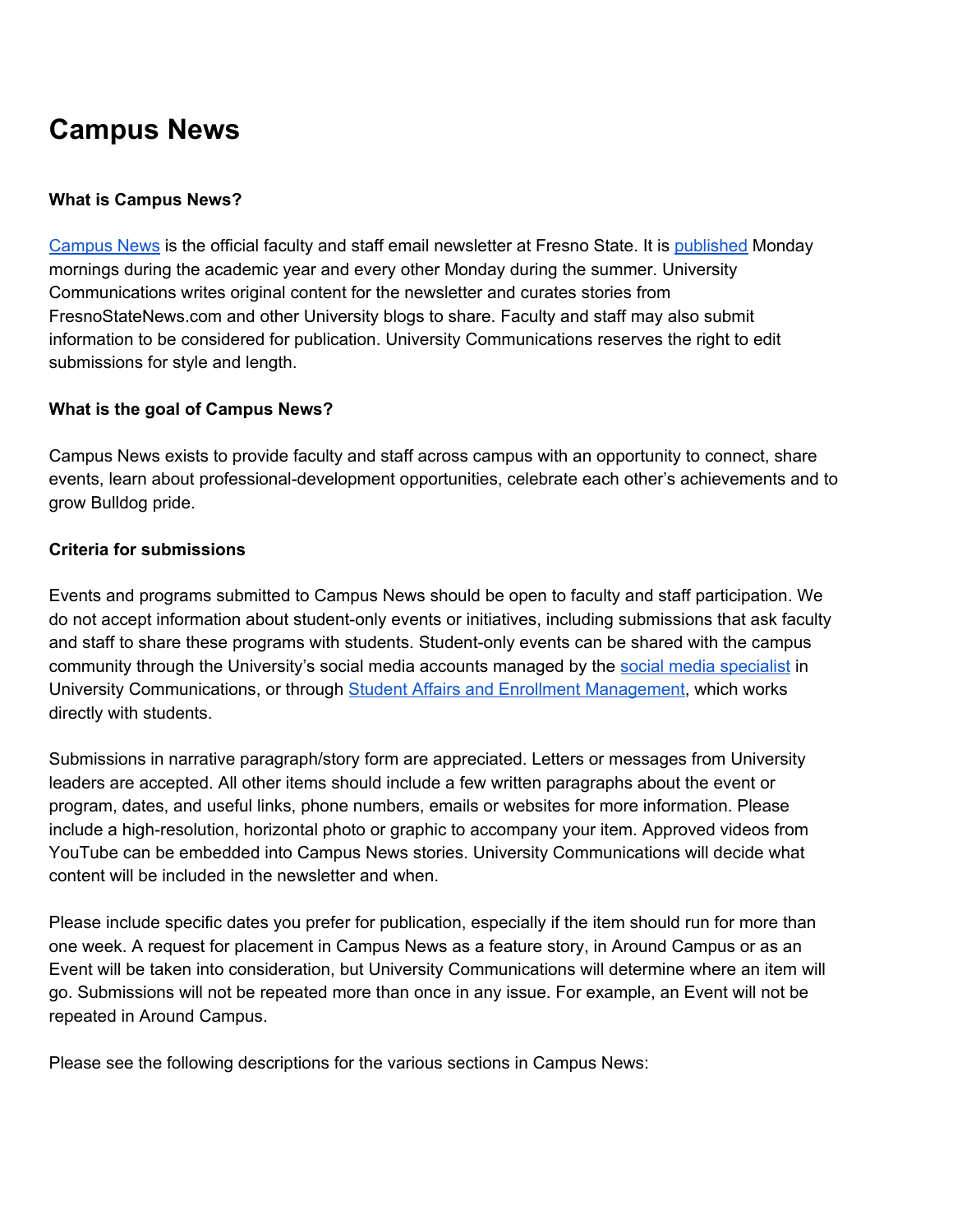# **Campus News**

#### **What is Campus News?**

[Campus](https://campusnews.fresnostate.edu/) News is the official faculty and staff email newsletter at Fresno State. It is [published](https://campusnews.fresnostate.edu/schedule) Monday mornings during the academic year and every other Monday during the summer. University Communications writes original content for the newsletter and curates stories from FresnoStateNews.com and other University blogs to share. Faculty and staff may also submit information to be considered for publication. University Communications reserves the right to edit submissions for style and length.

#### **What is the goal of Campus News?**

Campus News exists to provide faculty and staff across campus with an opportunity to connect, share events, learn about professional-development opportunities, celebrate each other's achievements and to grow Bulldog pride.

#### **Criteria for submissions**

Events and programs submitted to Campus News should be open to faculty and staff participation. We do not accept information about student-only events or initiatives, including submissions that ask faculty and staff to share these programs with students. Student-only events can be shared with the campus community through the University's social media accounts managed by the social media [specialist](https://fresnostate.edu/advancement/ucomm/socialmedia/contact.html) in University Communications, or through Student Affairs and Enrollment [Management](http://fresnostate.edu/studentaffairs/), which works directly with students.

Submissions in narrative paragraph/story form are appreciated. Letters or messages from University leaders are accepted. All other items should include a few written paragraphs about the event or program, dates, and useful links, phone numbers, emails or websites for more information. Please include a high-resolution, horizontal photo or graphic to accompany your item. Approved videos from YouTube can be embedded into Campus News stories. University Communications will decide what content will be included in the newsletter and when.

Please include specific dates you prefer for publication, especially if the item should run for more than one week. A request for placement in Campus News as a feature story, in Around Campus or as an Event will be taken into consideration, but University Communications will determine where an item will go. Submissions will not be repeated more than once in any issue. For example, an Event will not be repeated in Around Campus.

Please see the following descriptions for the various sections in Campus News: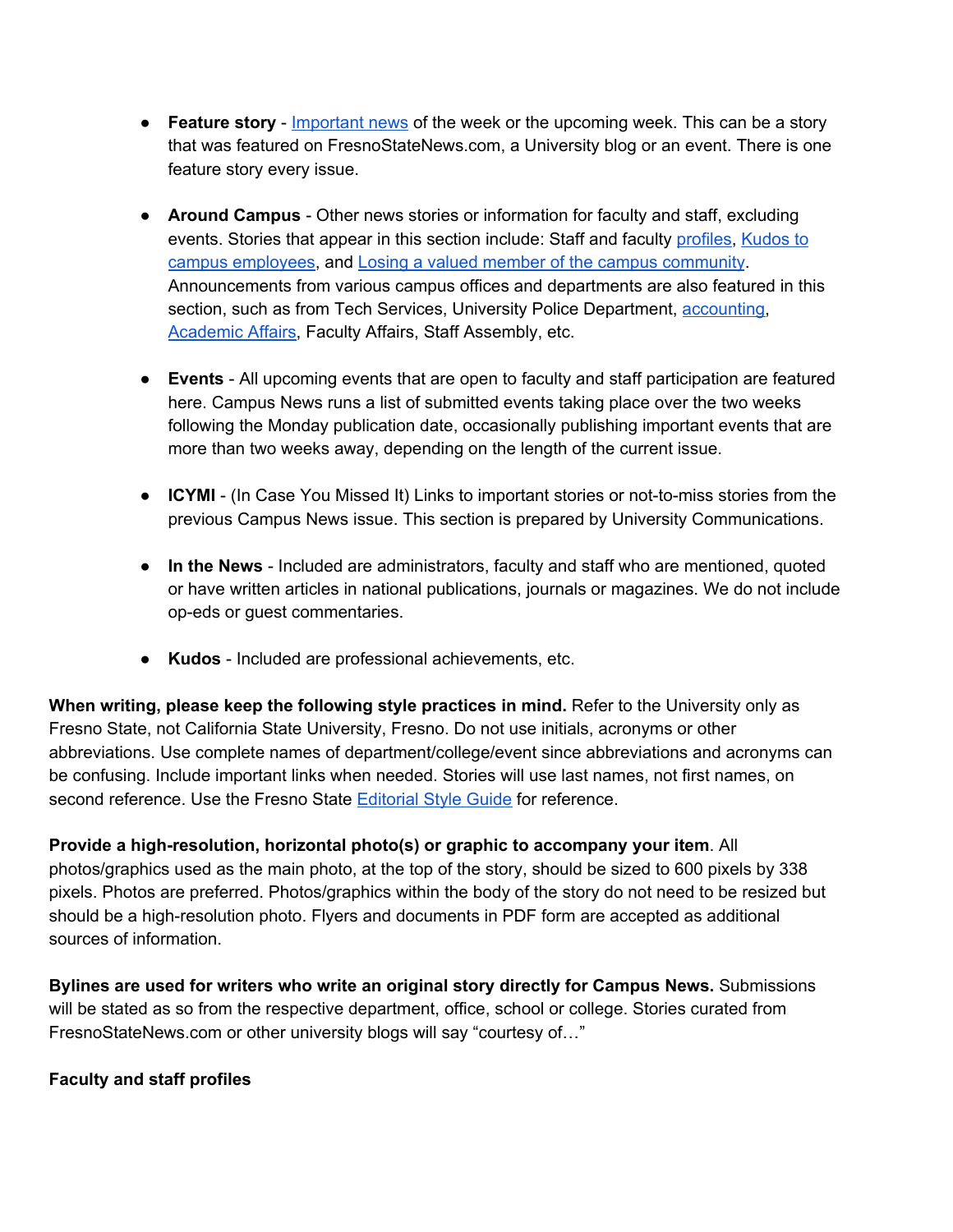- **Feature story** [Important](https://campusnews.fresnostate.edu/july-15-2019/dean-witte-retires) news of the week or the upcoming week. This can be a story that was featured on FresnoStateNews.com, a University blog or an event. There is one feature story every issue.
- **Around Campus** Other news stories or information for faculty and staff, excluding events. Stories that appear in this section include: Staff and faculty [profiles](https://campusnews.fresnostate.edu/july-15-2019/from-student-to-staff-a-success-story), [Kudos](https://campusnews.fresnostate.edu/june-17-2019/kudos-to-campus-employees) to campus [employees](https://campusnews.fresnostate.edu/june-17-2019/kudos-to-campus-employees), and Losing a valued member of the campus [community](https://campusnews.fresnostate.edu/july-1-2019/losing-two-valued-members-of-the-campus-community). Announcements from various campus offices and departments are also featured in this section, such as from Tech Services, University Police Department, [accounting,](https://campusnews.fresnostate.edu/may-20-2019/new-electronic-vendor-form-available) **[Academic](https://campusnews.fresnostate.edu/july-1-2019/interim-associate-deans-named) Affairs, Faculty Affairs, Staff Assembly, etc.**
- **Events** All upcoming events that are open to faculty and staff participation are featured here. Campus News runs a list of submitted events taking place over the two weeks following the Monday publication date, occasionally publishing important events that are more than two weeks away, depending on the length of the current issue.
- **ICYMI** (In Case You Missed It) Links to important stories or not-to-miss stories from the previous Campus News issue. This section is prepared by University Communications.
- **In the News** Included are administrators, faculty and staff who are mentioned, quoted or have written articles in national publications, journals or magazines. We do not include op-eds or guest commentaries.
- **Kudos** Included are professional achievements, etc.

**When writing, please keep the following style practices in mind.** Refer to the University only as Fresno State, not California State University, Fresno. Do not use initials, acronyms or other abbreviations. Use complete names of department/college/event since abbreviations and acronyms can be confusing. Include important links when needed. Stories will use last names, not first names, on second reference. Use the Fresno State [Editorial](https://brand.fresnostate.edu/editorial-style/editorial-style-guide.html) Style Guide for reference.

**Provide a high-resolution, horizontal photo(s) or graphic to accompany your item**. All photos/graphics used as the main photo, at the top of the story, should be sized to 600 pixels by 338 pixels. Photos are preferred. Photos/graphics within the body of the story do not need to be resized but should be a high-resolution photo. Flyers and documents in PDF form are accepted as additional sources of information.

**Bylines are used for writers who write an original story directly for Campus News.** Submissions will be stated as so from the respective department, office, school or college. Stories curated from FresnoStateNews.com or other university blogs will say "courtesy of…"

### **Faculty and staff profiles**